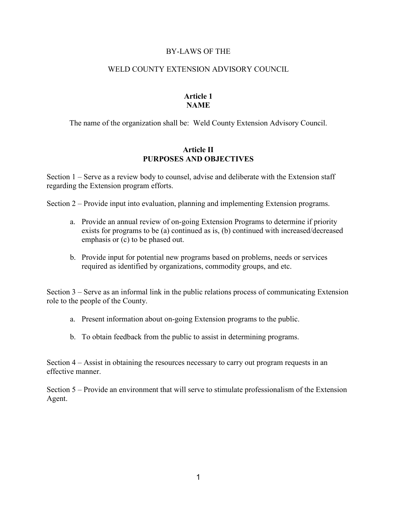#### BY-LAWS OF THE

#### WELD COUNTY EXTENSION ADVISORY COUNCIL

#### **Article 1 NAME**

The name of the organization shall be: Weld County Extension Advisory Council.

#### **Article II PURPOSES AND OBJECTIVES**

Section 1 – Serve as a review body to counsel, advise and deliberate with the Extension staff regarding the Extension program efforts.

Section 2 – Provide input into evaluation, planning and implementing Extension programs.

- a. Provide an annual review of on-going Extension Programs to determine if priority exists for programs to be (a) continued as is, (b) continued with increased/decreased emphasis or (c) to be phased out.
- b. Provide input for potential new programs based on problems, needs or services required as identified by organizations, commodity groups, and etc.

Section 3 – Serve as an informal link in the public relations process of communicating Extension role to the people of the County.

- a. Present information about on-going Extension programs to the public.
- b. To obtain feedback from the public to assist in determining programs.

Section 4 – Assist in obtaining the resources necessary to carry out program requests in an effective manner.

Section 5 – Provide an environment that will serve to stimulate professionalism of the Extension Agent.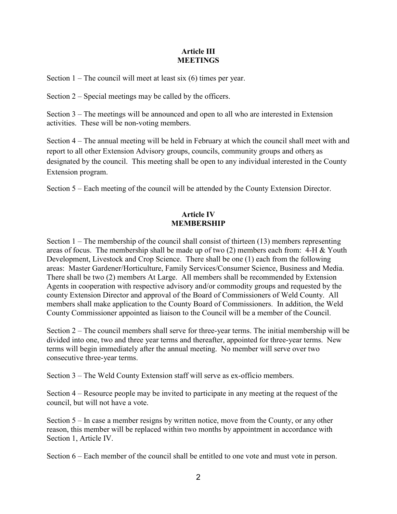## **Article III MEETINGS**

Section  $1$  – The council will meet at least six (6) times per year.

Section 2 – Special meetings may be called by the officers.

Section 3 – The meetings will be announced and open to all who are interested in Extension activities. These will be non-voting members.

Section 4 – The annual meeting will be held in February at which the council shall meet with and report to all other Extension Advisory groups, councils, community groups and others as designated by the council. This meeting shall be open to any individual interested in the County Extension program.

Section 5 – Each meeting of the council will be attended by the County Extension Director.

# **Article IV MEMBERSHIP**

Section 1 – The membership of the council shall consist of thirteen (13) members representing areas of focus. The membership shall be made up of two (2) members each from: 4-H & Youth Development, Livestock and Crop Science. There shall be one (1) each from the following areas: Master Gardener/Horticulture, Family Services/Consumer Science, Business and Media. There shall be two (2) members At Large. All members shall be recommended by Extension Agents in cooperation with respective advisory and/or commodity groups and requested by the county Extension Director and approval of the Board of Commissioners of Weld County. All members shall make application to the County Board of Commissioners. In addition, the Weld County Commissioner appointed as liaison to the Council will be a member of the Council.

Section 2 – The council members shall serve for three-year terms. The initial membership will be divided into one, two and three year terms and thereafter, appointed for three-year terms. New terms will begin immediately after the annual meeting. No member will serve over two consecutive three-year terms.

Section 3 – The Weld County Extension staff will serve as ex-officio members.

Section 4 – Resource people may be invited to participate in any meeting at the request of the council, but will not have a vote.

Section 5 – In case a member resigns by written notice, move from the County, or any other reason, this member will be replaced within two months by appointment in accordance with Section 1, Article IV.

Section 6 – Each member of the council shall be entitled to one vote and must vote in person.